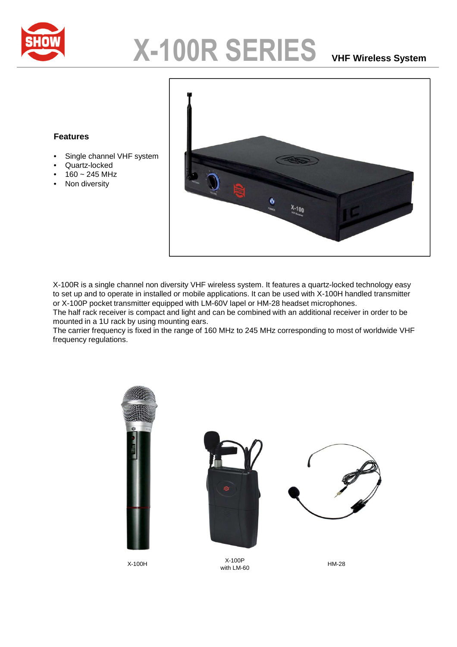

## **X-100R SERIES VHF Wireless System**

## **Features**

- Single channel VHF system
- Quartz-locked
- $160 245$  MHz
- Non diversity



X-100R is a single channel non diversity VHF wireless system. It features a quartz-locked technology easy to set up and to operate in installed or mobile applications. It can be used with X-100H handled transmitter or X-100P pocket transmitter equipped with LM-60V lapel or HM-28 headset microphones.

The half rack receiver is compact and light and can be combined with an additional receiver in order to be mounted in a 1U rack by using mounting ears.

The carrier frequency is fixed in the range of 160 MHz to 245 MHz corresponding to most of worldwide VHF frequency regulations.





X-100H X-100P with LM-60 HM-28